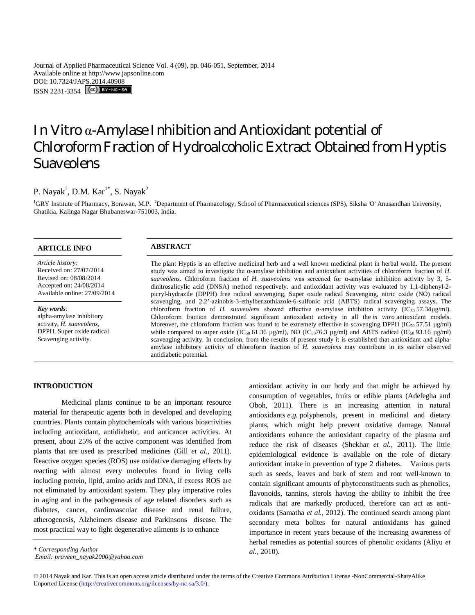Journal of Applied Pharmaceutical Science Vol. 4 (09), pp. 046-051, September, 2014 Available online at http://www.japsonline.com DOI: 10.7324/JAPS.2014.40908 ISSN 2231-3354 **CC**) BY-NC-SA

# In Vitro α-Amylase Inhibition and Antioxidant potential of Chloroform Fraction of Hydroalcoholic Extract Obtained from Hyptis Suaveolens

# P. Nayak<sup>1</sup>, D.M. Kar<sup>1\*</sup>, S. Nayak<sup>2</sup>

<sup>1</sup>GRY Institute of Pharmacy, Borawan, M.P. <sup>2</sup>Department of Pharmacology, School of Pharmaceutical sciences (SPS), Siksha 'O' Anusandhan University, Ghatikia, Kalinga Nagar Bhubaneswar-751003, India.

| <b>ARTICLE INFO</b>                                                                                                              | <b>ABSTRACT</b>                                                                                                                                                                                                                                                                                                                                                                                                                                                                                                                                                                                                                                                                                                                                                                                                                                                                                  |
|----------------------------------------------------------------------------------------------------------------------------------|--------------------------------------------------------------------------------------------------------------------------------------------------------------------------------------------------------------------------------------------------------------------------------------------------------------------------------------------------------------------------------------------------------------------------------------------------------------------------------------------------------------------------------------------------------------------------------------------------------------------------------------------------------------------------------------------------------------------------------------------------------------------------------------------------------------------------------------------------------------------------------------------------|
| Article history:<br>Received on: 27/07/2014<br>Revised on: 08/08/2014<br>Accepted on: 24/08/2014<br>Available online: 27/09/2014 | The plant Hyptis is an effective medicinal herb and a well known medicinal plant in herbal world. The present<br>study was aimed to investigate the $\alpha$ -amylase inhibition and antioxidant activities of chloroform fraction of H.<br>suaveolens. Chloroform fraction of H. suaveolens was screened for $\alpha$ -amylase inhibition activity by 3, 5-<br>dinitrosalicylic acid (DNSA) method respectively, and antioxidant activity was evaluated by 1,1-diphenyl-2-<br>picryl-hydrazile (DPPH) free radical scavenging, Super oxide radical Scavenging, nitric oxide (NO) radical                                                                                                                                                                                                                                                                                                        |
| Key words:<br>alpha-amylase inhibitory<br>activity, H. suaveolens,<br>DPPH, Super oxide radical<br>Scavenging activity.          | scavenging, and 2.2'-azinobis-3-ethylbenzothiazole-6-sulfonic acid (ABTS) radical scavenging assays. The<br>chloroform fraction of H. suaveolens showed effective $\alpha$ -amylase inhibition activity (IC <sub>50</sub> 57.34µg/ml).<br>Chloroform fraction demonstrated significant antioxidant activity in all the <i>in vitro</i> antioxidant models.<br>Moreover, the chloroform fraction was found to be extremely effective in scavenging DPPH (IC <sub>50</sub> 57.51 $\mu$ g/ml)<br>while compared to super oxide (IC <sub>50</sub> 61.36 $\mu$ g/ml), NO (IC <sub>50</sub> 76.3 $\mu$ g/ml) and ABTS radical (IC <sub>50</sub> 93.16 $\mu$ g/ml)<br>scavenging activity. In conclusion, from the results of present study it is established that antioxidant and alpha-<br>amylase inhibitory activity of chloroform fraction of H. suaveolens may contribute in its earlier observed |

### **INTRODUCTION**

Medicinal plants continue to be an important resource material for therapeutic agents both in developed and developing countries. Plants contain phytochemicals with various bioactivities including antioxidant, antidiabetic, and anticancer activities. At present, about 25% of the active component was identified from plants that are used as prescribed medicines (Gill *et al.,* 2011). Reactive oxygen species (ROS) use oxidative damaging effects by reacting with almost every molecules found in living cells including protein, lipid, amino acids and DNA, if excess ROS are not eliminated by antioxidant system. They play imperative roles in aging and in the pathogenesis of age related disorders such as diabetes, cancer, cardiovascular disease and renal failure, atherogenesis, Alzheimers disease and Parkinsons disease. The most practical way to fight degenerative ailments is to enhance

antidiabetic potential.

antioxidant activity in our body and that might be achieved by consumption of vegetables, fruits or edible plants (Adefegha and Oboh, 2011). There is an increasing attention in natural antioxidants *e.g.* polyphenols, present in medicinal and dietary plants, which might help prevent oxidative damage. Natural antioxidants enhance the antioxidant capacity of the plasma and reduce the risk of diseases (Shekhar *et al.,* 2011). The little epidemiological evidence is available on the role of dietary antioxidant intake in prevention of type 2 diabetes. Various parts such as seeds, leaves and bark of stem and root well-known to contain significant amounts of phytoconstituents such as phenolics, flavonoids, tannins, sterols having the ability to inhibit the free radicals that are markedly produced, therefore can act as antioxidants (Samatha *et al.,* 2012). The continued search among plant secondary meta bolites for natural antioxidants has gained importance in recent years because of the increasing awareness of herbal remedies as potential sources of phenolic oxidants (Aliyu *et al.,* 2010).

*Email: praveen\_nayak2000@yahoo.com*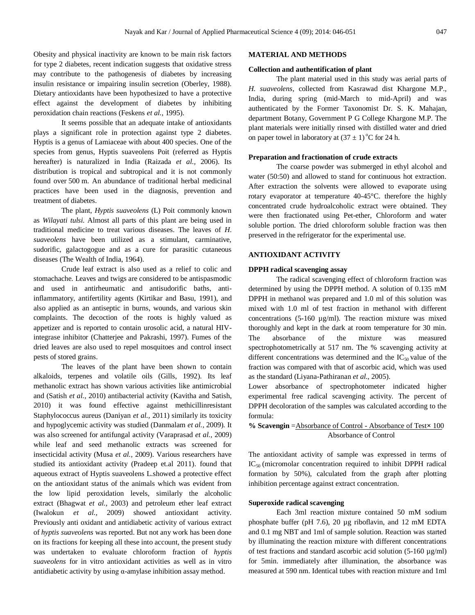Obesity and physical inactivity are known to be main risk factors for type 2 diabetes, recent indication suggests that oxidative stress may contribute to the pathogenesis of diabetes by increasing insulin resistance or impairing insulin secretion (Oberley, 1988). Dietary antioxidants have been hypothesized to have a protective effect against the development of diabetes by inhibiting peroxidation chain reactions (Feskens *et al.,* 1995).

It seems possible that an adequate intake of antioxidants plays a significant role in protection against type 2 diabetes. Hyptis is a genus of Lamiaceae with about 400 species. One of the species from genus, Hyptis suaveolens Poit (referred as Hyptis hereafter) is naturalized in India (Raizada *et al.,* 2006). Its distribution is tropical and subtropical and it is not commonly found over 500 m. An abundance of traditional herbal medicinal practices have been used in the diagnosis, prevention and treatment of diabetes.

The plant, *Hyptis suaveolens* (L) Poit commonly known as *Wilayati tulsi.* Almost all parts of this plant are being used in traditional medicine to treat various diseases. The leaves of *H. suaveolens* have been utilized as a stimulant, carminative, sudorific, galactogogue and as a cure for parasitic cutaneous diseases (The Wealth of India, 1964).

Crude leaf extract is also used as a relief to colic and stomachache. Leaves and twigs are considered to be antispasmodic and used in antirheumatic and antisudorific baths, antiinflammatory, antifertility agents (Kirtikar and Basu, 1991), and also applied as an antiseptic in burns, wounds, and various skin complaints. The decoction of the roots is highly valued as appetizer and is reported to contain urosolic acid, a natural HIVintegrase inhibitor (Chatterjee and Pakrashi, 1997). Fumes of the dried leaves are also used to repel mosquitoes and control insect pests of stored grains.

The leaves of the plant have been shown to contain alkaloids, terpenes and volatile oils (Gills, 1992). Its leaf methanolic extract has shown various activities like antimicrobial and (Satish *et al.,* 2010) antibacterial activity (Kavitha and Satish, 2010) it was found effective against methicillinresistant Staphylococcus aureus (Daniyan *et al.,* 2011) similarly its toxicity and hypoglycemic activity was studied (Danmalam *et al.,* 2009). It was also screened for antifungal activity (Varaprasad *et al.,* 2009) while leaf and seed methanolic extracts was screened for insecticidal activity (Musa *et al.,* 2009). Various researchers have studied its antioxidant activity (Pradeep et.al 2011). found that aqueous extract of Hyptis suaveolens L.showed a protective effect on the antioxidant status of the animals which was evident from the low lipid peroxidation levels, similarly the alcoholic extract (Bhagwat *et al.,* 2003) and petroleum ether leaf extract (Iwalokun *et al.,* 2009) showed antioxidant activity. Previously anti oxidant and antidiabetic activity of various extract of *hyptis suaveolens* was reported. But not any work has been done on its fractions for keeping all these into account, the present study was undertaken to evaluate chloroform fraction of *hyptis suaveolens* for in vitro antioxidant activities as well as in vitro antidiabetic activity by using α-amylase inhibition assay method.

#### **MATERIAL AND METHODS**

#### **Collection and authentification of plant**

The plant material used in this study was aerial parts of *H. suaveolens,* collected from Kasrawad dist Khargone M.P., India, during spring (mid-March to mid-April) and was authenticated by the Former Taxonomist Dr. S. K. Mahajan, department Botany, Government P G College Khargone M.P. The plant materials were initially rinsed with distilled water and dried on paper towel in laboratory at  $(37 \pm 1)$ <sup>o</sup>C for 24 h.

#### **Preparation and fractionation of crude extracts**

The coarse powder was submerged in ethyl alcohol and water (50:50) and allowed to stand for continuous hot extraction. After extraction the solvents were allowed to evaporate using rotary evaporator at temperature 40-45°C. therefore the highly concentrated crude hydroalcoholic extract were obtained. They were then fractionated using Pet-ether, Chloroform and water soluble portion. The dried chloroform soluble fraction was then preserved in the refrigerator for the experimental use.

#### **ANTIOXIDANT ACTIVITY**

## **DPPH radical scavenging assay**

The radical scavenging effect of chloroform fraction was determined by using the DPPH method. A solution of 0.135 mM DPPH in methanol was prepared and 1.0 ml of this solution was mixed with 1.0 ml of test fraction in methanol with different concentrations (5-160 µg/ml). The reaction mixture was mixed thoroughly and kept in the dark at room temperature for 30 min. The absorbance of the mixture was measured spectrophotometrically at 517 nm. The % scavenging activity at different concentrations was determined and the  $IC_{50}$  value of the fraction was compared with that of ascorbic acid, which was used as the standard (Liyana-Pathiranan *et al.,* 2005).

Lower absorbance of spectrophotometer indicated higher experimental free radical scavenging activity. The percent of DPPH decoloration of the samples was calculated according to the formula:

## **% Scavengin** =Absorbance of Control - Absorbance of Test**×** 100 Absorbance of Control

The antioxidant activity of sample was expressed in terms of  $IC_{50}$  (micromolar concentration required to inhibit DPPH radical formation by 50%), calculated from the graph after plotting inhibition percentage against extract concentration.

## **Superoxide radical scavenging**

Each 3ml reaction mixture contained 50 mM sodium phosphate buffer (pH 7.6), 20 µg riboflavin, and 12 mM EDTA and 0.1 mg NBT and 1ml of sample solution. Reaction was started by illuminating the reaction mixture with different concentrations of test fractions and standard ascorbic acid solution (5-160 µg/ml) for 5min. immediately after illumination, the absorbance was measured at 590 nm. Identical tubes with reaction mixture and 1ml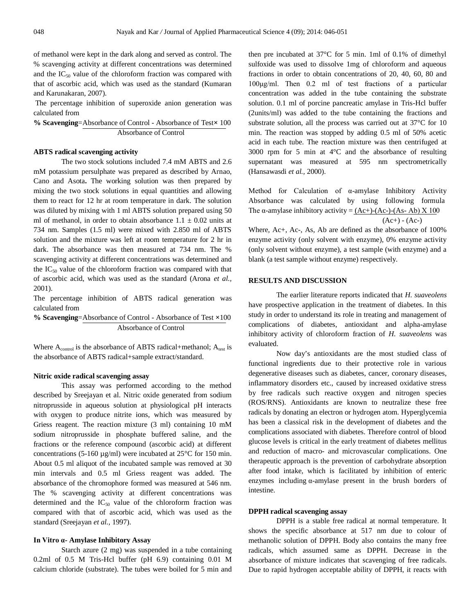of methanol were kept in the dark along and served as control. The % scavenging activity at different concentrations was determined and the  $IC_{50}$  value of the chloroform fraction was compared with that of ascorbic acid, which was used as the standard (Kumaran and Karunakaran, 2007).

The percentage inhibition of superoxide anion generation was calculated from

**% Scavenging**=Absorbance of Control - Absorbance of Test**×** 100 Absorbance of Control

## **ABTS radical scavenging activity**

The two stock solutions included 7.4 mM ABTS and 2.6 mM potassium persulphate was prepared as described by Arnao, Cano and Asota**.** The working solution was then prepared by mixing the two stock solutions in equal quantities and allowing them to react for 12 hr at room temperature in dark. The solution was diluted by mixing with 1 ml ABTS solution prepared using 50 ml of methanol, in order to obtain absorbance  $1.1 \pm 0.02$  units at 734 nm. Samples (1.5 ml) were mixed with 2.850 ml of ABTS solution and the mixture was left at room temperature for 2 hr in dark. The absorbance was then measured at 734 nm. The % scavenging activity at different concentrations was determined and the  $IC_{50}$  value of the chloroform fraction was compared with that of ascorbic acid, which was used as the standard (Arona *et al.,*  2001).

The percentage inhibition of ABTS radical generation was calculated from

**% Scavenging**=Absorbance of Control - Absorbance of Test **×**100 Absorbance of Control

Where  $A_{control}$  is the absorbance of ABTS radical+methanol;  $A_{test}$  is the absorbance of ABTS radical+sample extract/standard.

#### **Nitric oxide radical scavenging assay**

This assay was performed according to the method described by Sreejayan et al. Nitric oxide generated from sodium nitroprusside in aqueous solution at physiological pH interacts with oxygen to produce nitrite ions, which was measured by Griess reagent. The reaction mixture (3 ml) containing 10 mM sodium nitroprusside in phosphate buffered saline, and the fractions or the reference compound (ascorbic acid) at different concentrations (5-160 µg/ml) were incubated at 25°C for 150 min. About 0.5 ml aliquot of the incubated sample was removed at 30 min intervals and 0.5 ml Griess reagent was added. The absorbance of the chromophore formed was measured at 546 nm. The % scavenging activity at different concentrations was determined and the  $IC_{50}$  value of the chloroform fraction was compared with that of ascorbic acid, which was used as the standard (Sreejayan *et al.,* 1997).

#### **In Vitro α- Amylase Inhibitory Assay**

Starch azure (2 mg) was suspended in a tube containing 0.2ml of 0.5 M Tris-Hcl buffer (pH 6.9) containing 0.01 M calcium chloride (substrate). The tubes were boiled for 5 min and then pre incubated at 37°C for 5 min. 1ml of 0.1% of dimethyl sulfoxide was used to dissolve 1mg of chloroform and aqueous fractions in order to obtain concentrations of 20, 40, 60, 80 and 100μg/ml. Then 0.2 ml of test fractions of a particular concentration was added in the tube containing the substrate solution. 0.1 ml of porcine pancreatic amylase in Tris-Hcl buffer (2units/ml) was added to the tube containing the fractions and substrate solution, all the process was carried out at 37°C for 10 min. The reaction was stopped by adding 0.5 ml of 50% acetic acid in each tube. The reaction mixture was then centrifuged at 3000 rpm for 5 min at 4°C and the absorbance of resulting supernatant was measured at 595 nm spectrometrically (Hansawasdi *et al.,* 2000).

Method for Calculation of α-amylase Inhibitory Activity Absorbance was calculated by using following formula The  $\alpha$ -amylase inhibitory activity = (Ac+)-(Ac-)-(As-Ab) X 100  $(Ac+) - (Ac-)$ 

Where, Ac+, Ac-, As, Ab are defined as the absorbance of 100% enzyme activity (only solvent with enzyme), 0% enzyme activity (only solvent without enzyme), a test sample (with enzyme) and a blank (a test sample without enzyme) respectively.

### **RESULTS AND DISCUSSION**

The earlier literature reports indicated that *H. suaveolens* have prospective application in the treatment of diabetes. In this study in order to understand its role in treating and management of complications of diabetes, antioxidant and alpha-amylase inhibitory activity of chloroform fraction of *H. suaveolens* was evaluated.

Now day's antioxidants are the most studied class of functional ingredients due to their protective role in various degenerative diseases such as diabetes, cancer, coronary diseases, inflammatory disorders etc., caused by increased oxidative stress by free radicals such reactive oxygen and nitrogen species (ROS/RNS). Antioxidants are known to neutralize these free radicals by donating an electron or hydrogen atom. Hyperglycemia has been a classical risk in the development of diabetes and the complications associated with diabetes. Therefore control of blood glucose levels is critical in the early treatment of diabetes mellitus and reduction of macro- and microvascular complications. One therapeutic approach is the prevention of carbohydrate absorption after food intake, which is facilitated by inhibition of enteric enzymes including α-amylase present in the brush borders of intestine.

#### **DPPH radical scavenging assay**

DPPH is a stable free radical at normal temperature. It shows the specific absorbance at 517 nm due to colour of methanolic solution of DPPH. Body also contains the many free radicals, which assumed same as DPPH. Decrease in the absorbance of mixture indicates that scavenging of free radicals. Due to rapid hydrogen acceptable ability of DPPH, it reacts with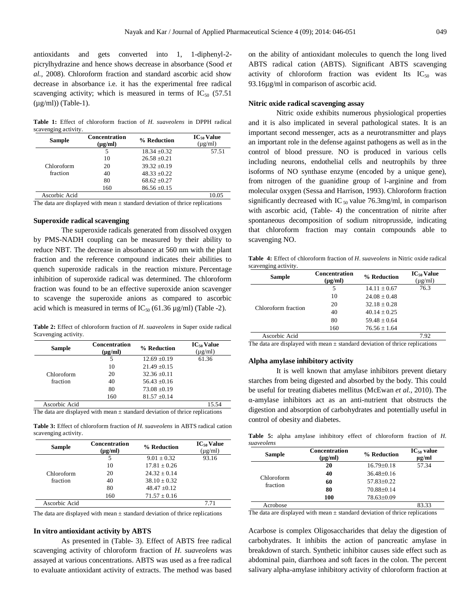antioxidants and gets converted into 1, 1-diphenyl-2 picrylhydrazine and hence shows decrease in absorbance (Sood *et al.,* 2008). Chloroform fraction and standard ascorbic acid show decrease in absorbance i.e. it has the experimental free radical scavenging activity; which is measured in terms of  $IC_{50}$  (57.51  $(\mu g/ml))$  (Table-1).

**Table 1:** Effect of chloroform fraction of *H. suaveolens* in DPPH radical scavenging activity.

| <b>Concentration</b><br>$(\mu g/ml)$ | % Reduction      | $IC_{50}$ Value<br>$(\mu$ g/ml) |
|--------------------------------------|------------------|---------------------------------|
| 5                                    | $18.34 + 0.32$   | 57.51                           |
| 10                                   | $26.58 \pm 0.21$ |                                 |
| 20                                   | $39.32 + 0.19$   |                                 |
| 40                                   | $48.33 \pm 0.22$ |                                 |
| 80                                   | $68.62 \pm 0.27$ |                                 |
| 160                                  | $86.56 \pm 0.15$ |                                 |
|                                      |                  | 10.05                           |
|                                      |                  |                                 |

The data are displayed with mean  $\pm$  standard deviation of thrice replications

#### **Superoxide radical scavenging**

The superoxide radicals generated from dissolved oxygen by PMS-NADH coupling can be measured by their ability to reduce NBT. The decrease in absorbance at 560 nm with the plant fraction and the reference compound indicates their abilities to quench superoxide radicals in the reaction mixture. Percentage inhibition of superoxide radical was determined. The chloroform fraction was found to be an effective superoxide anion scavenger to scavenge the superoxide anions as compared to ascorbic acid which is measured in terms of  $IC_{50}$  (61.36  $\mu$ g/ml) (Table -2).

**Table 2:** Effect of chloroform fraction of *H. suaveolens* in Super oxide radical Scavenging activity.

| Sample        | <b>Concentration</b><br>$(\mu g/ml)$ | % Reduction      | $IC_{50}$ Value<br>$(\mu g/ml)$ |
|---------------|--------------------------------------|------------------|---------------------------------|
|               | 5                                    | $12.69 \pm 0.19$ | 61.36                           |
|               | 10                                   | $21.49 + 0.15$   |                                 |
| Chloroform    | 20                                   | $32.36 + 0.11$   |                                 |
| fraction      | 40                                   | $56.43 + 0.16$   |                                 |
|               | 80                                   | $73.08 + 0.19$   |                                 |
|               | 160                                  | $81.57 \pm 0.14$ |                                 |
| Ascorbic Acid |                                      |                  | 15.54                           |

The data are displayed with mean  $\pm$  standard deviation of thrice replications

**Table 3:** Effect of chloroform fraction of *H. suaveolens* in ABTS radical cation scavenging activity.

| <b>Sample</b> | <b>Concentration</b><br>$(\mu g/ml)$ | % Reduction      | $IC_{50}$ Value<br>$(\mu g/ml)$ |
|---------------|--------------------------------------|------------------|---------------------------------|
|               | 5                                    | $9.01 + 0.32$    | 93.16                           |
|               | 10                                   | $17.81 + 0.26$   |                                 |
| Chloroform    | 20                                   | $24.32 + 0.14$   |                                 |
| fraction      | 40                                   | $38.10 + 0.32$   |                                 |
|               | 80                                   | $48.47 + 0.12$   |                                 |
|               | 160                                  | $71.57 \pm 0.16$ |                                 |
| Ascorbic Acid |                                      |                  | 7.71                            |

The data are displayed with mean  $\pm$  standard deviation of thrice replications

#### **In vitro antioxidant activity by ABTS**

As presented in (Table- 3). Effect of ABTS free radical scavenging activity of chloroform fraction of *H. suaveolens* was assayed at various concentrations. ABTS was used as a free radical to evaluate antioxidant activity of extracts. The method was based on the ability of antioxidant molecules to quench the long lived ABTS radical cation (ABTS). Significant ABTS scavenging activity of chloroform fraction was evident Its  $IC_{50}$  was 93.16µg/ml in comparison of ascorbic acid.

#### **Nitric oxide radical scavenging assay**

Nitric oxide exhibits numerous physiological properties and it is also implicated in several pathological states. It is an important second messenger, acts as a neurotransmitter and plays an important role in the defense against pathogens as well as in the control of blood pressure. NO is produced in various cells including neurons, endothelial cells and neutrophils by three isoforms of NO synthase enzyme (encoded by a unique gene), from nitrogen of the guanidine group of l-arginine and from molecular oxygen (Sessa and Harrison, 1993). Chloroform fraction significantly decreased with IC  $_{50}$  value 76.3mg/ml, in comparison with ascorbic acid, (Table- 4) the concentration of nitrite after spontaneous decomposition of sodium nitroprusside, indicating that chloroform fraction may contain compounds able to scavenging NO.

**Table 4:** Effect of chloroform fraction of *H. suaveolens* in Nitric oxide radical scavenging activity.

| <b>Sample</b>       | <b>Concentration</b><br>$(\mu g/ml)$ | % Reduction      | <b>IC<sub>50</sub></b> Value<br>$(\mu g/ml)$ |
|---------------------|--------------------------------------|------------------|----------------------------------------------|
| Chloroform fraction | 5                                    | $14.11 + 0.67$   | 76.3                                         |
|                     | 10                                   | $24.08 + 0.48$   |                                              |
|                     | 20                                   | $32.18 + 0.28$   |                                              |
|                     | 40                                   | $40.14 + 0.25$   |                                              |
|                     | 80                                   | $59.48 + 0.64$   |                                              |
|                     | 160                                  | $76.56 \pm 1.64$ |                                              |
| Ascorbic Acid       |                                      |                  | 7.92                                         |

The data are displayed with mean  $\pm$  standard deviation of thrice replications

#### **Alpha amylase inhibitory activity**

It is well known that amylase inhibitors prevent dietary starches from being digested and absorbed by the body. This could be useful for treating diabetes mellitus (McEwan *et al.,* 2010). The α-amylase inhibitors act as an anti-nutrient that obstructs the digestion and absorption of carbohydrates and potentially useful in control of obesity and diabetes.

**Table 5:** alpha amylase inhibitory effect of chloroform fraction of *H. suaveolens*

| Sample                 | <b>Concentration</b><br>$(\mu g/ml)$ | % Reduction    | $IC_{50}$ value<br>$\mu$ g/ml |
|------------------------|--------------------------------------|----------------|-------------------------------|
|                        | 20                                   | $16.79 + 0.18$ | 57.34                         |
|                        | 40                                   | $36.48 + 0.16$ |                               |
| Chloroform<br>fraction | 60                                   | $57.83+0.22$   |                               |
|                        | 80                                   | 70.88+0.14     |                               |
|                        | 100                                  | 78.63±0.09     |                               |
| Acrobose               |                                      |                | 23 33                         |

The data are displayed with mean  $\pm$  standard deviation of thrice replications

Acarbose is complex Oligosaccharides that delay the digestion of carbohydrates. It inhibits the action of pancreatic amylase in breakdown of starch. Synthetic inhibitor causes side effect such as abdominal pain, diarrhoea and soft faces in the colon. The percent salivary alpha-amylase inhibitory activity of chloroform fraction at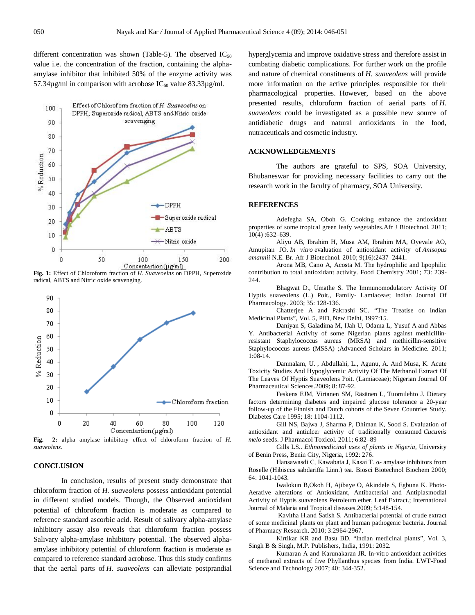different concentration was shown (Table-5). The observed  $IC_{50}$ value i.e. the concentration of the fraction, containing the alphaamylase inhibitor that inhibited 50% of the enzyme activity was 57.34 $\mu$ g/ml in comparison with acrobose IC<sub>50</sub> value 83.33 $\mu$ g/ml.



**Fig. 1:** Effect of Chloroform fraction of *H. Suaveoelns* on DPPH, Superoxide radical, ABTS and Nitric oxide scavenging.



*suaveolens.*

## **CONCLUSION**

In conclusion, results of present study demonstrate that chloroform fraction of *H. suaveolens* possess antioxidant potential in different studied models. Though, the Observed antioxidant potential of chloroform fraction is moderate as compared to reference standard ascorbic acid. Result of salivary alpha-amylase inhibitory assay also reveals that chloroform fraction possess Salivary alpha-amylase inhibitory potential. The observed alphaamylase inhibitory potential of chloroform fraction is moderate as compared to reference standard acrobose. Thus this study confirms that the aerial parts of *H. suaveolens* can alleviate postprandial hyperglycemia and improve oxidative stress and therefore assist in combating diabetic complications. For further work on the profile and nature of chemical constituents of *H. suaveolens* will provide more information on the active principles responsible for their pharmacological properties. However, based on the above presented results, chloroform fraction of aerial parts of *H. suaveolens* could be investigated as a possible new source of antidiabetic drugs and natural antioxidants in the food, nutraceuticals and cosmetic industry.

#### **ACKNOWLEDGEMENTS**

The authors are grateful to SPS, SOA University, Bhubaneswar for providing necessary facilities to carry out the research work in the faculty of pharmacy, SOA University.

#### **REFERENCES**

Adefegha SA, Oboh G. Cooking enhance the antioxidant properties of some tropical green leafy vegetables.Afr J Biotechnol. 2011; 10(4) :632–639.

Aliyu AB, Ibrahim H, Musa AM, Ibrahim MA, Oyevale AO, Amupitan JO. *In vitro* evaluation of antioxidant activity of *Anisopus amannii* N.E. Br. Afr J Biotechnol. 2010; 9(16):2437–2441.

Arona MB, Cano A, Acosta M. The hydrophilic and lipophilic contribution to total antioxidant activity. Food Chemistry 2001; 73: 239- 244.

Bhagwat D., Umathe S. The Immunomodulatory Activity Of Hyptis suaveolens (L.) Poit., Family- Lamiaceae; Indian Journal Of Pharmacology. 2003; 35: 128-136.

Chatterjee A and Pakrashi SC. "The Treatise on Indian Medicinal Plants", Vol. 5, PID, New Delhi, 1997:15.

Daniyan S, Galadima M, IJah U, Odama L, Yusuf A and Abbas Y. Antibacterial Activity of some Nigerian plants against methicillinresistant Staphylococcus aureus (MRSA) and methicillin-sensitive Staphylococcus aureus (MSSA) ;Advanced Scholars in Medicine. 2011; 1:08-14.

Danmalam, U. , Abdullahi, L., Agunu, A. And Musa, K. Acute Toxicity Studies And Hypoglycemic Activity Of The Methanol Extract Of The Leaves Of Hyptis Suaveolens Poit. (Lamiaceae); Nigerian Journal Of Pharmaceutical Sciences.2009; 8: 87-92.

Feskens EJM, Virtanen SM, Räsänen L, Tuomilehto J. Dietary factors determining diabetes and impaired glucose tolerance a 20-year follow-up of the Finnish and Dutch cohorts of the Seven Countries Study. Diabetes Care 1995; 18: 1104-1112.

Gill NS, Bajwa J, Sharma P, Dhiman K, Sood S. Evaluation of antioxidant and antiulcer activity of traditionally consumed *Cucumis melo* seeds. J Pharmacol Toxicol. 2011; 6:82–89

Gills LS.. *Ethnomedicinal uses of plants in Nigeria*, University of Benin Press, Benin City, Nigeria, 1992: 276.

Hansawasdi C, Kawabata J, Kasai T. α- amylase inhibitors from Roselle (Hibiscus sabdariffa Linn.) tea. Biosci Biotechnol Biochem 2000; 64: 1041-1043.

Iwalokun B,Okoh H, Ajibaye O, Akindele S, Egbuna K. Photo-Aerative alterations of Antioxidant, Antibacterial and Antiplasmodial Activity of Hyptis suaveolens Petroleum ether, Leaf Extract.; International Journal of Malaria and Tropical diseases.2009; 5:148-154.

Kavitha H.and Satish S. Antibacterial potential of crude extract of some medicinal plants on plant and human pathogenic bacteria. Journal of Pharmacy Research. 2010; 3:2964-2967.

Kirtikar KR and Basu BD. "Indian medicinal plants", Vol. 3, Singh B & Singh, M.P. Publishers, India, 1991: 2032.

Kumaran A and Karunakaran JR. In-vitro antioxidant activities of methanol extracts of five Phyllanthus species from India. LWT-Food Science and Technology 2007; 40: 344-352.